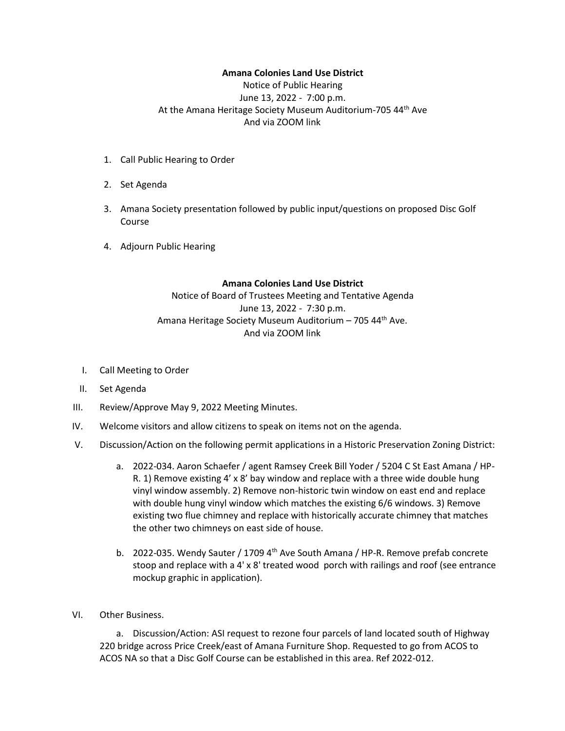## **Amana Colonies Land Use District**

Notice of Public Hearing June 13, 2022 - 7:00 p.m. At the Amana Heritage Society Museum Auditorium-705 44th Ave And via ZOOM link

- 1. Call Public Hearing to Order
- 2. Set Agenda
- 3. Amana Society presentation followed by public input/questions on proposed Disc Golf Course
- 4. Adjourn Public Hearing

## **Amana Colonies Land Use District**

## Notice of Board of Trustees Meeting and Tentative Agenda June 13, 2022 - 7:30 p.m. Amana Heritage Society Museum Auditorium - 705 44<sup>th</sup> Ave. And via ZOOM link

- I. Call Meeting to Order
- II. Set Agenda
- III. Review/Approve May 9, 2022 Meeting Minutes.
- IV. Welcome visitors and allow citizens to speak on items not on the agenda.
- V. Discussion/Action on the following permit applications in a Historic Preservation Zoning District:
	- a. 2022-034. Aaron Schaefer / agent Ramsey Creek Bill Yoder / 5204 C St East Amana / HP-R. 1) Remove existing 4' x 8' bay window and replace with a three wide double hung vinyl window assembly. 2) Remove non-historic twin window on east end and replace with double hung vinyl window which matches the existing 6/6 windows. 3) Remove existing two flue chimney and replace with historically accurate chimney that matches the other two chimneys on east side of house.
	- b. 2022-035. Wendy Sauter / 1709  $4<sup>th</sup>$  Ave South Amana / HP-R. Remove prefab concrete stoop and replace with a 4' x 8' treated wood porch with railings and roof (see entrance mockup graphic in application).
- VI. Other Business.

a. Discussion/Action: ASI request to rezone four parcels of land located south of Highway 220 bridge across Price Creek/east of Amana Furniture Shop. Requested to go from ACOS to ACOS NA so that a Disc Golf Course can be established in this area. Ref 2022-012.